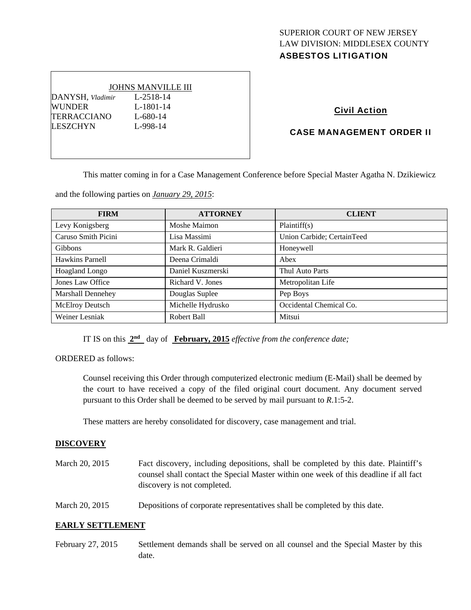# SUPERIOR COURT OF NEW JERSEY LAW DIVISION: MIDDLESEX COUNTY ASBESTOS LITIGATION

# JOHNS MANVILLE III DANYSH*, Vladimir* L-2518-14 WUNDER L-1801-14 TERRACCIANO L-680-14 LESZCHYN L-998-14

## Civil Action

## CASE MANAGEMENT ORDER II

This matter coming in for a Case Management Conference before Special Master Agatha N. Dzikiewicz

and the following parties on *January 29, 2015*:

| <b>FIRM</b>              | <b>ATTORNEY</b>   | <b>CLIENT</b>              |
|--------------------------|-------------------|----------------------------|
| Levy Konigsberg          | Moshe Maimon      | Plaintiff(s)               |
| Caruso Smith Picini      | Lisa Massimi      | Union Carbide; CertainTeed |
| <b>Gibbons</b>           | Mark R. Galdieri  | Honeywell                  |
| <b>Hawkins Parnell</b>   | Deena Crimaldi    | Abex                       |
| <b>Hoagland Longo</b>    | Daniel Kuszmerski | Thul Auto Parts            |
| Jones Law Office         | Richard V. Jones  | Metropolitan Life          |
| <b>Marshall Dennehey</b> | Douglas Suplee    | Pep Boys                   |
| McElroy Deutsch          | Michelle Hydrusko | Occidental Chemical Co.    |
| Weiner Lesniak           | Robert Ball       | Mitsui                     |

IT IS on this **2nd** day of **February, 2015** *effective from the conference date;*

ORDERED as follows:

Counsel receiving this Order through computerized electronic medium (E-Mail) shall be deemed by the court to have received a copy of the filed original court document. Any document served pursuant to this Order shall be deemed to be served by mail pursuant to *R*.1:5-2.

These matters are hereby consolidated for discovery, case management and trial.

### **DISCOVERY**

- March 20, 2015 Fact discovery, including depositions, shall be completed by this date. Plaintiff's counsel shall contact the Special Master within one week of this deadline if all fact discovery is not completed.
- March 20, 2015 Depositions of corporate representatives shall be completed by this date.

## **EARLY SETTLEMENT**

February 27, 2015 Settlement demands shall be served on all counsel and the Special Master by this date.